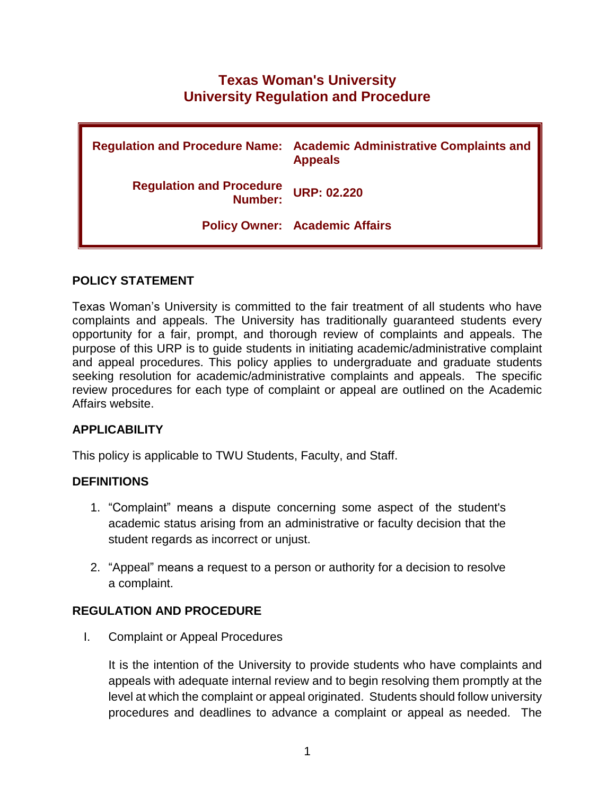# **Texas Woman's University University Regulation and Procedure**

|                                            | Regulation and Procedure Name: Academic Administrative Complaints and<br><b>Appeals</b> |
|--------------------------------------------|-----------------------------------------------------------------------------------------|
| <b>Regulation and Procedure</b><br>Number: | <b>URP: 02.220</b>                                                                      |
|                                            | <b>Policy Owner: Academic Affairs</b>                                                   |

#### **POLICY STATEMENT**

Texas Woman's University is committed to the fair treatment of all students who have complaints and appeals. The University has traditionally guaranteed students every opportunity for a fair, prompt, and thorough review of complaints and appeals. The purpose of this URP is to guide students in initiating academic/administrative complaint and appeal procedures. This policy applies to undergraduate and graduate students seeking resolution for academic/administrative complaints and appeals. The specific review procedures for each type of complaint or appeal are outlined on the Academic Affairs website.

# **APPLICABILITY**

This policy is applicable to TWU Students, Faculty, and Staff.

#### **DEFINITIONS**

- 1. "Complaint" means a dispute concerning some aspect of the student's academic status arising from an administrative or faculty decision that the student regards as incorrect or unjust.
- 2. "Appeal" means a request to a person or authority for a decision to resolve a complaint.

# **REGULATION AND PROCEDURE**

I. Complaint or Appeal Procedures

It is the intention of the University to provide students who have complaints and appeals with adequate internal review and to begin resolving them promptly at the level at which the complaint or appeal originated. Students should follow university procedures and deadlines to advance a complaint or appeal as needed. The